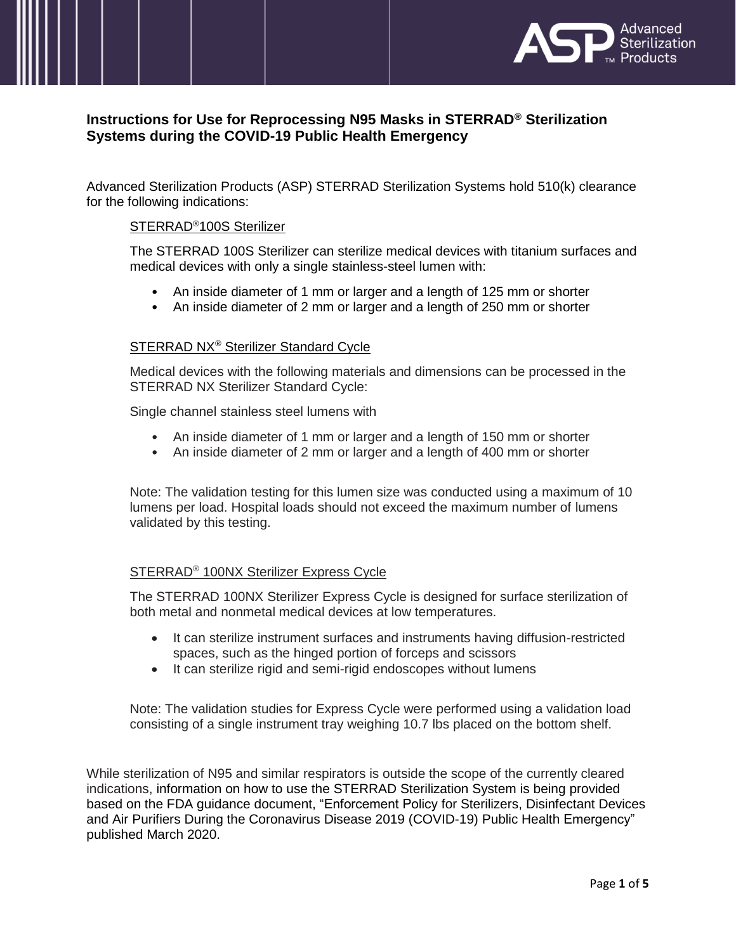

# **Instructions for Use for Reprocessing N95 Masks in STERRAD® Sterilization Systems during the COVID-19 Public Health Emergency**

Advanced Sterilization Products (ASP) STERRAD Sterilization Systems hold 510(k) clearance for the following indications:

# STERRAD®100S Sterilizer

The STERRAD 100S Sterilizer can sterilize medical devices with titanium surfaces and medical devices with only a single stainless-steel lumen with:

- An inside diameter of 1 mm or larger and a length of 125 mm or shorter
- An inside diameter of 2 mm or larger and a length of 250 mm or shorter

# STERRAD NX® Sterilizer Standard Cycle

Medical devices with the following materials and dimensions can be processed in the STERRAD NX Sterilizer Standard Cycle:

Single channel stainless steel lumens with

- An inside diameter of 1 mm or larger and a length of 150 mm or shorter
- An inside diameter of 2 mm or larger and a length of 400 mm or shorter

Note: The validation testing for this lumen size was conducted using a maximum of 10 lumens per load. Hospital loads should not exceed the maximum number of lumens validated by this testing.

# STERRAD® 100NX Sterilizer Express Cycle

The STERRAD 100NX Sterilizer Express Cycle is designed for surface sterilization of both metal and nonmetal medical devices at low temperatures.

- It can sterilize instrument surfaces and instruments having diffusion-restricted spaces, such as the hinged portion of forceps and scissors
- It can sterilize rigid and semi-rigid endoscopes without lumens

Note: The validation studies for Express Cycle were performed using a validation load consisting of a single instrument tray weighing 10.7 lbs placed on the bottom shelf.

While sterilization of N95 and similar respirators is outside the scope of the currently cleared indications, information on how to use the STERRAD Sterilization System is being provided based on the FDA guidance document, "Enforcement Policy for Sterilizers, Disinfectant Devices and Air Purifiers During the Coronavirus Disease 2019 (COVID-19) Public Health Emergency" published March 2020.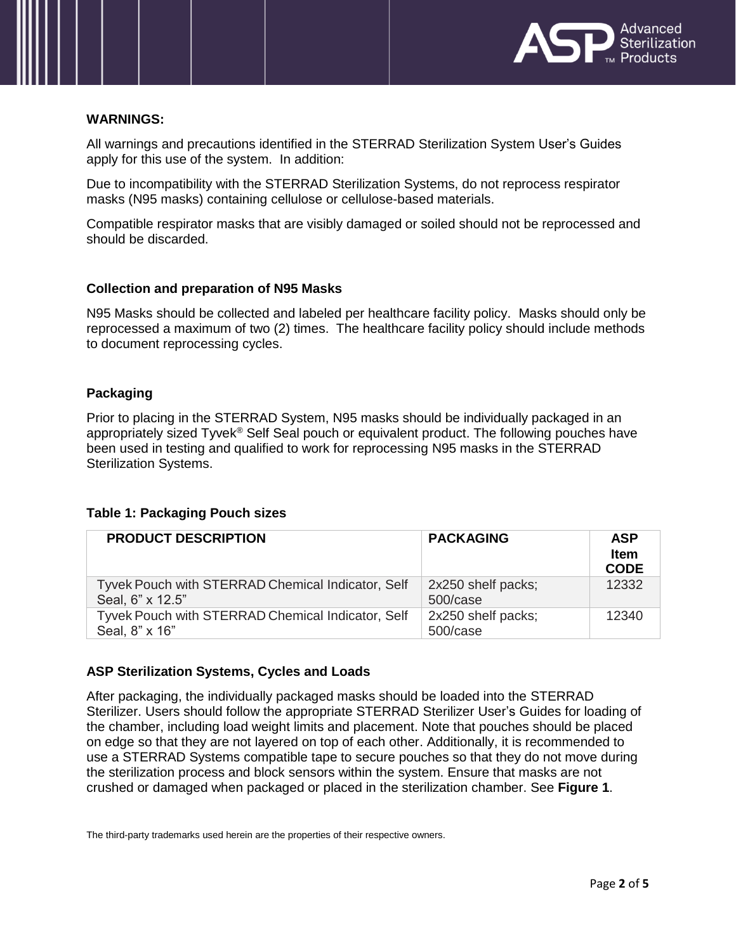

### **WARNINGS:**

All warnings and precautions identified in the STERRAD Sterilization System User's Guides apply for this use of the system. In addition:

Due to incompatibility with the STERRAD Sterilization Systems, do not reprocess respirator masks (N95 masks) containing cellulose or cellulose-based materials.

Compatible respirator masks that are visibly damaged or soiled should not be reprocessed and should be discarded.

### **Collection and preparation of N95 Masks**

N95 Masks should be collected and labeled per healthcare facility policy. Masks should only be reprocessed a maximum of two (2) times. The healthcare facility policy should include methods to document reprocessing cycles.

# **Packaging**

Prior to placing in the STERRAD System, N95 masks should be individually packaged in an appropriately sized Tyvek® Self Seal pouch or equivalent product. The following pouches have been used in testing and qualified to work for reprocessing N95 masks in the STERRAD Sterilization Systems.

#### **Table 1: Packaging Pouch sizes**

| <b>PRODUCT DESCRIPTION</b>                                            | <b>PACKAGING</b>               | <b>ASP</b><br><b>Item</b><br><b>CODE</b> |
|-----------------------------------------------------------------------|--------------------------------|------------------------------------------|
| Tyvek Pouch with STERRAD Chemical Indicator, Self<br>Seal, 6" x 12.5" | 2x250 shelf packs;<br>500/case | 12332                                    |
| Tyvek Pouch with STERRAD Chemical Indicator, Self<br>Seal, 8" x 16"   | 2x250 shelf packs;<br>500/case | 12340                                    |

# **ASP Sterilization Systems, Cycles and Loads**

After packaging, the individually packaged masks should be loaded into the STERRAD Sterilizer. Users should follow the appropriate STERRAD Sterilizer User's Guides for loading of the chamber, including load weight limits and placement. Note that pouches should be placed on edge so that they are not layered on top of each other. Additionally, it is recommended to use a STERRAD Systems compatible tape to secure pouches so that they do not move during the sterilization process and block sensors within the system. Ensure that masks are not crushed or damaged when packaged or placed in the sterilization chamber. See **Figure 1**.

The third-party trademarks used herein are the properties of their respective owners.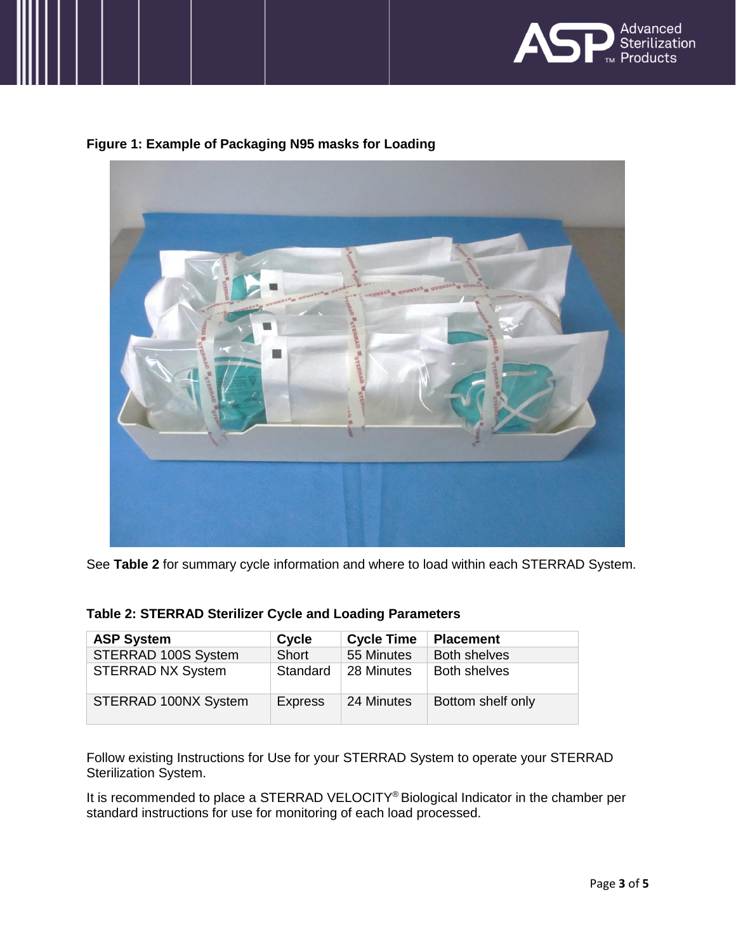

# **Figure 1: Example of Packaging N95 masks for Loading**



See **Table 2** for summary cycle information and where to load within each STERRAD System.

| Table 2: STERRAD Sterilizer Cycle and Loading Parameters |  |  |
|----------------------------------------------------------|--|--|
|                                                          |  |  |

| <b>ASP System</b>        | Cycle          | <b>Cycle Time</b> | <b>Placement</b>    |
|--------------------------|----------------|-------------------|---------------------|
| STERRAD 100S System      | Short          | 55 Minutes        | <b>Both shelves</b> |
| <b>STERRAD NX System</b> | Standard       | 28 Minutes        | <b>Both shelves</b> |
| STERRAD 100NX System     | <b>Express</b> | 24 Minutes        | Bottom shelf only   |

Follow existing Instructions for Use for your STERRAD System to operate your STERRAD Sterilization System.

It is recommended to place a STERRAD VELOCITY® Biological Indicator in the chamber per standard instructions for use for monitoring of each load processed.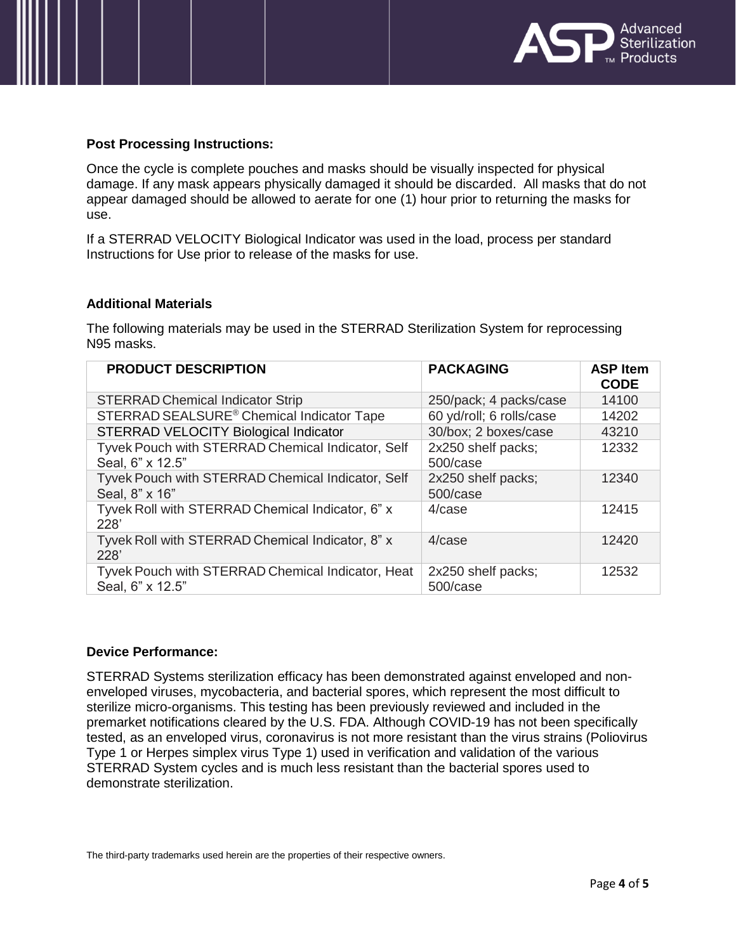

### **Post Processing Instructions:**

Once the cycle is complete pouches and masks should be visually inspected for physical damage. If any mask appears physically damaged it should be discarded. All masks that do not appear damaged should be allowed to aerate for one (1) hour prior to returning the masks for use.

If a STERRAD VELOCITY Biological Indicator was used in the load, process per standard Instructions for Use prior to release of the masks for use.

### **Additional Materials**

The following materials may be used in the STERRAD Sterilization System for reprocessing N95 masks.

| <b>PRODUCT DESCRIPTION</b>                                            | <b>PACKAGING</b>               | <b>ASP Item</b><br><b>CODE</b> |
|-----------------------------------------------------------------------|--------------------------------|--------------------------------|
| <b>STERRAD Chemical Indicator Strip</b>                               | 250/pack; 4 packs/case         | 14100                          |
| STERRAD SEALSURE <sup>®</sup> Chemical Indicator Tape                 | 60 yd/roll; 6 rolls/case       | 14202                          |
| STERRAD VELOCITY Biological Indicator                                 | 30/box; 2 boxes/case           | 43210                          |
| Tyvek Pouch with STERRAD Chemical Indicator, Self                     | 2x250 shelf packs;             | 12332                          |
| Seal, 6" x 12.5"                                                      | 500/case                       |                                |
| Tyvek Pouch with STERRAD Chemical Indicator, Self<br>Seal, 8" x 16"   | 2x250 shelf packs;<br>500/case | 12340                          |
| Tyvek Roll with STERRAD Chemical Indicator, 6" x<br>228'              | 4/case                         | 12415                          |
| Tyvek Roll with STERRAD Chemical Indicator, 8" x<br>228'              | 4/case                         | 12420                          |
| Tyvek Pouch with STERRAD Chemical Indicator, Heat<br>Seal, 6" x 12.5" | 2x250 shelf packs;<br>500/case | 12532                          |

#### **Device Performance:**

STERRAD Systems sterilization efficacy has been demonstrated against enveloped and nonenveloped viruses, mycobacteria, and bacterial spores, which represent the most difficult to sterilize micro-organisms. This testing has been previously reviewed and included in the premarket notifications cleared by the U.S. FDA. Although COVID-19 has not been specifically tested, as an enveloped virus, coronavirus is not more resistant than the virus strains (Poliovirus Type 1 or Herpes simplex virus Type 1) used in verification and validation of the various STERRAD System cycles and is much less resistant than the bacterial spores used to demonstrate sterilization.